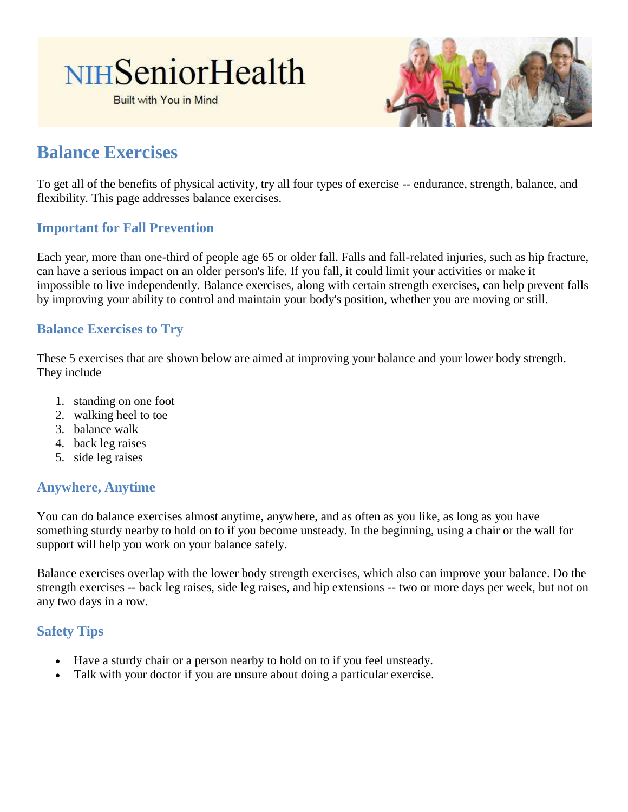# NIHSeniorHealth

**Built with You in Mind** 



# **Balance Exercises**

To get all of the benefits of physical activity, try all four types of exercise -- endurance, strength, balance, and flexibility. This page addresses balance exercises.

### **Important for Fall Prevention**

Each year, more than one-third of people age 65 or older fall. Falls and fall-related injuries, such as hip fracture, can have a serious impact on an older person's life. If you fall, it could limit your activities or make it impossible to live independently. Balance exercises, along with certain strength exercises, can help prevent falls by improving your ability to control and maintain your body's position, whether you are moving or still.

### **Balance Exercises to Try**

These 5 exercises that are shown below are aimed at improving your balance and your lower body strength. They include

- 1. standing on one foot
- 2. walking heel to toe
- 3. balance walk
- 4. back leg raises
- 5. side leg raises

#### **Anywhere, Anytime**

You can do balance exercises almost anytime, anywhere, and as often as you like, as long as you have something sturdy nearby to hold on to if you become unsteady. In the beginning, using a chair or the wall for support will help you work on your balance safely.

Balance exercises overlap with the lower body strength exercises, which also can improve your balance. Do the strength exercises -- back leg raises, side leg raises, and hip extensions -- two or more days per week, but not on any two days in a row.

# **Safety Tips**

- Have a sturdy chair or a person nearby to hold on to if you feel unsteady.
- Talk with your doctor if you are unsure about doing a particular exercise.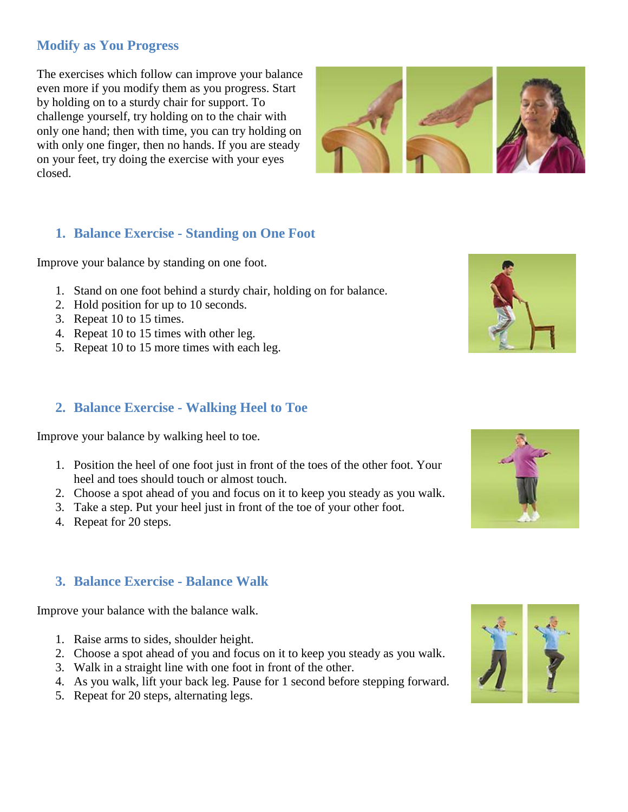# **Modify as You Progress**

The exercises which follow can improve your balance even more if you modify them as you progress. Start by holding on to a sturdy chair for support. To challenge yourself, try holding on to the chair with only one hand; then with time, you can try holding on with only one finger, then no hands. If you are steady on your feet, try doing the exercise with your eyes closed.



# **1. Balance Exercise - Standing on One Foot**

Improve your balance by standing on one foot.

- 1. Stand on one foot behind a sturdy chair, holding on for balance.
- 2. Hold position for up to 10 seconds.
- 3. Repeat 10 to 15 times.
- 4. Repeat 10 to 15 times with other leg.
- 5. Repeat 10 to 15 more times with each leg.

## **2. Balance Exercise - Walking Heel to Toe**

Improve your balance by walking heel to toe.

- 1. Position the heel of one foot just in front of the toes of the other foot. Your heel and toes should touch or almost touch.
- 2. Choose a spot ahead of you and focus on it to keep you steady as you walk.
- 3. Take a step. Put your heel just in front of the toe of your other foot.
- 4. Repeat for 20 steps.

# **3. Balance Exercise - Balance Walk**

Improve your balance with the balance walk.

- 1. Raise arms to sides, shoulder height.
- 2. Choose a spot ahead of you and focus on it to keep you steady as you walk.
- 3. Walk in a straight line with one foot in front of the other.
- 4. As you walk, lift your back leg. Pause for 1 second before stepping forward.
- 5. Repeat for 20 steps, alternating legs.